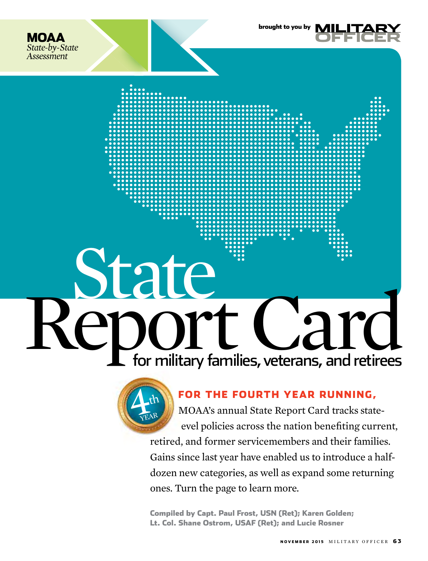





#### for the fourth year running,

brought to you by

MOAA's annual State Report Card tracks statelevel policies across the nation benefiting current, retired, and former servicemembers and their families. Gains since last year have enabled us to introduce a halfdozen new categories, as well as expand some returning ones. Turn the page to learn more.

Compiled by Capt. Paul Frost, USN (Ret); Karen Golden; Lt. Col. Shane Ostrom, USAF (Ret); and Lucie Rosner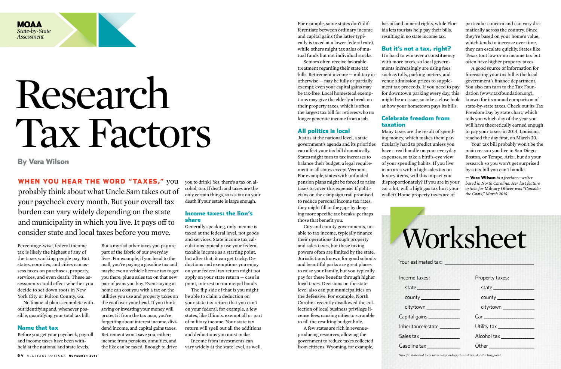For example, some states don't differentiate between ordinary income and capital gains (the latter typically is taxed at a lower federal rate), while others might tax sales of mutual funds but not individual stocks.

Seniors often receive favorable treatment regarding their state tax bills. Retirement income — military or otherwise — may be fully or partially exempt; even your capital gains may be tax-free. Local homestead exemptions may give the elderly a break on their property taxes, which is often the largest tax bill for retirees who no longer generate income from a job.

#### All politics is local

Just as at the national level, a state government's agenda and its priorities can affect your tax bill dramatically. States might turn to tax increases to balance their budget, a legal requirement in all states except Vermont. For example, states with unfunded pension plans might be forced to raise taxes to cover this expense. If politicians on the campaign trail promised to reduce personal income tax rates, they might fill in the gaps by denying more specific tax breaks, perhaps those that benefit you.

City and county governments, unable to tax income, typically finance their operations through property and sales taxes, but these taxing powers often are limited by the state. Jurisdictions known for good schools and beautiful parks are great places to raise your family, but you typically pay for these benefits through higher local taxes. Decisions on the state level also can put municipalities on the defensive. For example, North Carolina recently disallowed the collection of local business privilege license fees, causing cities to scramble to fill the resulting budget hole.

Income taxes: state **\_\_\_\_\_\_\_\_\_\_\_\_\_\_\_\_\_\_\_** county **\_\_\_\_\_\_\_\_\_\_\_\_\_\_\_\_\_** city/town **\_\_\_\_\_\_\_\_\_\_\_\_\_\_\_** Capital gains **\_\_\_\_\_\_\_\_\_\_\_\_\_\_** Inheritance/estate **\_\_\_\_\_\_\_\_\_** Sales tax **\_\_\_\_\_\_\_\_\_\_\_\_\_\_\_\_\_\_** Gasoline tax **\_\_\_\_\_\_\_\_\_\_\_\_\_\_\_** *Specific state and local taxe* 

A few states are rich in revenueproducing resources, allowing the government to reduce taxes collected from citizens. Wyoming, for example,

has oil and mineral rights, while Florida lets tourists help pay their bills, resulting in no state income tax.

#### But it's not a tax, right?

It's hard to win over a constituency with more taxes, so local governments increasingly are using fees such as tolls, parking meters, and venue admission prices to supplement tax proceeds. If you need to pay for downtown parking every day, this might be an issue, so take a close look at how your hometown pays its bills.

#### Celebrate freedom from taxation

Many taxes are the result of spending money, which makes them particularly hard to predict unless you have a real handle on your everyday expenses, so take a bird's-eye view of your spending habits. If you live in an area with a high sales tax on luxury items, will this impact you disproportionately? If you are in your car a lot, will a high gas tax hurt your wallet? Home property taxes are of



Your estimated ta

particular concern and can vary dramatically across the country. Since they're based on your home's value, which tends to increase over time, they can escalate quickly. States like Texas tout low or no income tax but often have higher property taxes.

WHEN YOU HEAR THE WORD "TAXES," you probably think about what Uncle Sam takes out of your paycheck every month. But your overall tax burden can vary widely depending on the state and municipality in which you live. It pays off to consider state and local taxes before you move.

A good source of information for forecasting your tax bill is the local government's finance department. You also can turn to the Tax Foundation (www.taxfoundation.org), known for its annual comparison of state-by-state taxes. Check out its Tax Freedom Day by state chart, which tells you which day of the year you will have theoretically earned enough to pay your taxes; in 2014, Louisiana reached the day first, on March 30.

Your tax bill probably won't be the main reason you live in San Diego, Boston, or Tempe, Ariz., but do your research so you won't get surprised by a tax bill you can't handle.

— Vera Wilson *is a freelance writer based in North Carolina. Her last feature article for* Military Officer *was "Consider the Costs," March 2015.*

Percentage-wise, federal income tax is likely the highest of any of the taxes working people pay. But states, counties, and cities can assess taxes on purchases, property, services, and even death. These assessments could affect whether you decide to set down roots in New York City or Fulton County, Ga.

No financial plan is complete without identifying and, whenever possible, quantifying your total tax bill.

#### Name that tax

Before you get your paycheck, payroll and income taxes have been withheld at the national and state levels.

But a myriad other taxes you pay are part of the fabric of our everyday lives. For example, if you head to the mall, you're paying a gasoline tax and maybe even a vehicle license tax to get you there, plus a sales tax on that new pair of jeans you buy. Even staying at home can cost you with a tax on the utilities you use and property taxes on the roof over your head. If you think saving or investing your money will protect it from the tax man, you're forgetting about interest income, dividend income, and capital gains taxes. Retirement won't save you, either; income from pensions, annuities, and the like can be taxed. Enough to drive

| Worksheet                                                                       |                        |
|---------------------------------------------------------------------------------|------------------------|
| Your estimated tax: _________                                                   |                        |
| ncome taxes:                                                                    | Property taxes:        |
|                                                                                 |                        |
|                                                                                 | $\frac{1}{2}$ county   |
|                                                                                 | city/town ____________ |
| Capital gains <b>______</b>                                                     |                        |
| nheritance/estate ________                                                      |                        |
| Sales tax _______________                                                       |                        |
| $G$ asoline tax $\rule{1em}{0.15mm}$                                            | Other $\qquad \qquad$  |
| Specific state and local taxes vary widely; this list is just a starting point. |                        |

you to drink? Yes, there's a tax on alcohol, too. If death and taxes are the only certain things, so is a tax on your death if your estate is large enough.

#### Income taxes: the lion's share

Generally speaking, only income is taxed at the federal level, not goods and services. State income tax calculations typically use your federal taxable income as a starting point, but after that, it can get tricky. Deductions and exemptions you enjoy on your federal tax return might not apply on your state return — case in point, interest on municipal bonds.

The flip side of that is you might be able to claim a deduction on your state tax return that you can't on your federal; for example, a few states, like Illinois, exempt all or part of military income. Your state tax return will spell out all the additions and deductions you must make.

Income from investments can vary widely at the state level, as well.

By Vera Wilson

# Research Tax Factors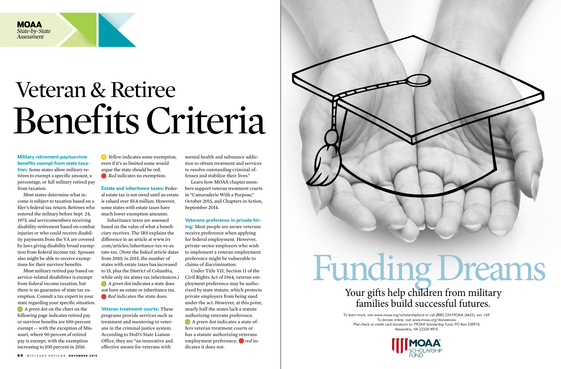

**Military retirement pay/survivor benefits exempt from state taxation:** Some states allow military retirees to exempt a specific amount, a percentage, or full military retired pay from taxation.

Most states determine what income is subject to taxation based on a filer's federal tax return. Retirees who entered the military before Sept. 24, 1975, and servicemembers receiving disability retirement based on combat injuries or who could receive disability payments from the VA are covered by laws giving disability broad exemption from federal income tax. Spouses also might be able to receive exemptions for their survivor benefits.

> while only six states tax inheritances.) A *green* dot indicates a state does not have an estate or inheritance tax. **Red** indicates the state does.

Most military retired pay based on service-related disabilities is exempt from federal income taxation, but there is no guarantee of state tax exemption. Consult a tax expert in your state regarding your specific situation. A *green* dot on the chart on the following page indicates retired pay or survivor benefits are 100-percent exempt — with the exception of Missouri, where 90 percent of retired pay is exempt, with the exemption increasing to 100 percent in 2016.

 $\bigcirc$  *Yellow* indicates some exemption, even if it's so limited some would argue the state should be red. *Red* indicates no exemption.

**Estate and inheritance taxes:** Federal estate tax is not owed until an estate is valued over \$5.4 million. However, some states with estate taxes have much lower exemption amounts.

Inheritance taxes are assessed based on the value of what a beneficiary receives. The IRS explains the difference in an article at www.irs .com/articles/inheritance-tax-vs-es tate-tax. (Note the linked article dates from 2010; in 2015, the number of states with estate taxes has increased to 15, plus the District of Columbia,

**Veteran treatment courts:** These programs provide services such as treatment and mentoring to veterans in the criminal justice system. According to DoD's State Liaison Office, they are "an innovative and effective means for veterans with

mental health and substance addiction to obtain treatment and services to resolve outstanding criminal offenses and stabilize their lives."

Learn how MOAA chapter members support veteran treatment courts in "Camaraderie With a Purpose," October 2015, and Chapters in Action, September 2014.

#### **Veterans preference in private hir-**

**ing:** Most people are aware veterans receive preference when applying for federal employment. However, private-sector employers who wish to implement a veteran employment preference might be vulnerable to claims of discrimination.

Under Title VII, Section 11 of the Civil Rights Act of 1964, veteran employment preference may be authorized by state statute, which protects private employers from being sued under the act. However, at this point, nearly half the states lack a statute authorizing veterans preference.

 A *green* dot indicates a state offers veteran treatment courts or has a statute authorizing veterans employment preference; *red* indicates it does not.



### Funding Dreams Your gifts help children from military<br>families build successful futures.

### Veteran & Retiree Benefits Criteria

To learn more, visit www.moaa.org/scholarshipfund or call (800) 234-MOAA (6622), ext. 169. To donate online, visit www.moaa.org/donatenow. Mail check or credit card donations to: MOAA Scholarship Fund, PO Box 320910, Alexandria, VA 22320-4910.





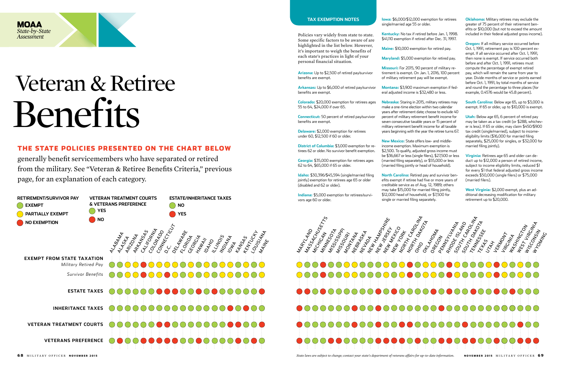**Arizona:** Up to \$2,500 of retired pay/survivor benefits are exempt.

**Arkansas:** Up to \$6,000 of retired pay/survivor benefits are exempt.

**Colorado:** \$20,000 exemption for retirees ages 55 to 64, \$24,000 if over 65.

**Connecticut:** 50 percent of retired pay/survivor benefits are exempt.

**Delaware:** \$2,000 exemption for retirees under 60, \$12,500 if 60 or older.

**District of Columbia:** \$3,000 exemption for retirees 62 or older. No survivor benefit exemption.

**Georgia:** \$35,000 exemption for retirees ages 62 to 64, \$65,000 if 65 or older.

**Idaho:** \$30,396/\$45,594 (single/married filing jointly) exemption for retirees age 65 or older (disabled and 62 or older).

**Indiana:** \$5,000 exemption for retirees/survivors age 60 or older.

**Iowa:** \$6,000/\$12,000 exemption for retirees single/married age 55 or older.

**Kentucky:** No tax if retired before Jan. 1, 1998. \$41,110 exemption if retired after Dec. 31, 1997.

**Maine:** \$10,000 exemption for retired pay.

**Maryland:** \$5,000 exemption for retired pay.

**Missouri:** For 2015, 90 percent of military retirement is exempt. On Jan. 1, 2016, 100 percent of military retirement pay will be exempt.

**Montana:** \$3,900 maximum exemption if federal adjusted income is \$32,480 or less.

**Nebraska:** Staring in 2015, military retirees may make a one-time election within two calendar years after retirement date; choose to exclude 40 percent of military retirement benefit income for seven consecutive taxable years or 15 percent of military retirement benefit income for all taxable years beginning with the year the retiree turns 67.

**New Mexico:** State offers low- and middleincome exemption. Maximum exemption is \$2,500. To qualify, adjusted gross income must be \$36,667 or less (single filers), \$27,500 or less (married filing separately), or \$55,000 or less (married filing jointly or head of household).

**North Carolina:** Retired pay and survivor benefits exempt if retiree had five or more years of creditable service as of Aug. 12, 1989; others may take \$15,000 for married filing jointly, \$12,000 head of household, or \$7,500 for single or married filing separately.

**Oklahoma:** Military retirees may exclude the greater of 75 percent of their retirement benefits or \$10,000 (but not to exceed the amount included in their federal adjusted gross income).

**Oregon:** If all military service occurred before Oct. 1, 1991, retirement pay is 100-percent exempt. If all service occurred after Oct. 1, 1991, then none is exempt. If service occurred both before and after Oct. 1, 1991, retirees must compute the percentage of exempt retired pay, which will remain the same from year to year. Divide months of service or points earned before Oct. 1, 1991, by total months of service and round the percentage to three places (for example, 0.4576 would be 45.8 percent).

**South Carolina:** Below age 65, up to \$3,000 is exempt. If 65 or older, up to \$10,000 is exempt.

**Utah:** Below age 65, 6 percent of retired pay may be taken as a tax credit (or \$288, whichever is less). If 65 or older, may claim \$450/\$900 tax credit (single/married), subject to incomeeligibility limits (\$16,000 for married filing separately, \$25,000 for singles, or \$32,000 for married filing jointly).

**Virginia:** Retirees age 65 and older can deduct up to \$12,000 a person of retired income, subject to income eligibility limits, reduced \$1 for every \$1 that federal adjusted gross income exceeds \$50,000 (single filers) or \$75,000 (married filers).

**West Virginia:** \$2,000 exempt, plus an additional decreasing modification for military retirement up to \$20,000.

Policies vary widely from state to state. Some specific factors to be aware of are highlighted in the list below. However, it's important to weigh the benefits of each state's practices in light of your personal financial situation.

#### **TAX exemption notes**



68 MILITARY OFFICER NOVEMBER 2015 **State 2015** Millitary of the subject to change; contact your state's department of veterans affairs for up-to-date information. NOVEMBER 2015 MILITARY OFFICER **69** Millitary of the subjec



#### The state policies presented on the chart below

generally benefit servicemembers who have separated or retired from the military. See "Veteran & Retiree Benefits Criteria," previous page, for an explanation of each category.

### Veteran & Retiree Benefits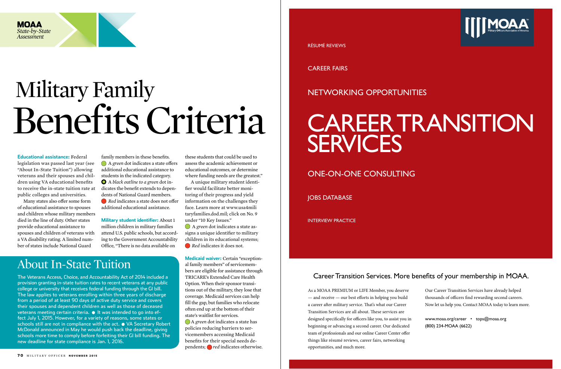#### **Educational assistance:** Federal

legislation was passed last year (see "About In-State Tuition") allowing veterans and their spouses and children using VA educational benefits to receive the in-state tuition rate at public colleges and universities.

Many states also offer some form of educational assistance to spouses and children whose military members died in the line of duty. Other states provide educational assistance to spouses and children of veterans with a VA disability rating. A limited number of states include National Guard

family members in these benefits. A *green* dot indicates a state offers additional educational assistance to students in the indicated category. A *black outline to a green* dot indicates the benefit extends to dependents of National Guard members.

 *Red* indicates a state does not offer additional educational assistance.

> A *green* dot indicates a state has policies reducing barriers to servicemembers accessing Medicaid benefits for their special needs dependents; *red* indicates otherwise.

**Military student identifier:** About 1 million children in military families attend U.S. public schools, but according to the Government Accountability Office, "There is no data available on

these students that could be used to assess the academic achievement or educational outcomes, or determine where funding needs are the greatest."

A unique military student identifier would facilitate better monitoring of their progress and yield information on the challenges they face. Learn more at www.usa4mili taryfamilies.dod.mil; click on No. 9 under "10 Key Issues."

 A *green* dot indicates a state assigns a unique identifier to military children in its educational systems; *Red* indicates it does not.

**Medicaid waiver:** Certain "exceptional family members" of servicemembers are eligible for assistance through TRICARE's Extended Care Health Option. When their sponsor transitions out of the military, they lose that coverage. Medicaid services can help fill the gap, but families who relocate often end up at the bottom of their state's waitlist for services.

### CAReeR TRANSiTiON **SERVICES**

## Military Family Benefits Criteria

The Veterans Access, Choice, and Accountability Act of 2014 included a provision granting in-state tuition rates to recent veterans at any public college or university that receives federal funding through the GI bill. The law applies to veterans enrolling within three years of discharge from a period of at least 90 days of active duty service and covers their spouses and dependent children as well as those of deceased veterans meeting certain criteria.  $\bullet$  It was intended to go into effect July 1, 2015. However, for a variety of reasons, some states or schools still are not in compliance with the act.  $\bullet$  VA Secretary Robert McDonald announced in May he would push back the deadline, giving schools more time to comply before forfeiting their GI bill funding. The new deadline for state compliance is Jan. 1, 2016.

About In-State Tuition

#### Career Transition Services. More benefits of your membership in MOAA.

As a MOAA PREMIUM or LIFE Member, you deserve  $-$  and receive  $-$  our best efforts in helping you build a career after military service. That's what our Career Transition Services are all about. These services are designed specifically for officers like you, to assist you in beginning or advancing a second career. Our dedicated team of professionals and our online Career Center offer things like résumé reviews, career fairs, networking opportunities, and much more.



Our Career Transition Services have already helped thousands of officers find rewarding second careers. Now let us help you. Contact MOAA today to learn more.

www.moaa.org/career • tops@moaa.org (800) 234-MOAA (6622)

RéSuMé ReviewS

CAReeR fAiRS

#### NeTwORkiNg OppORTuNiTieS

#### ONe-ON-ONe CONSulTiNg

**JOBS DATABASE** 

iNTeRview pRACTiCe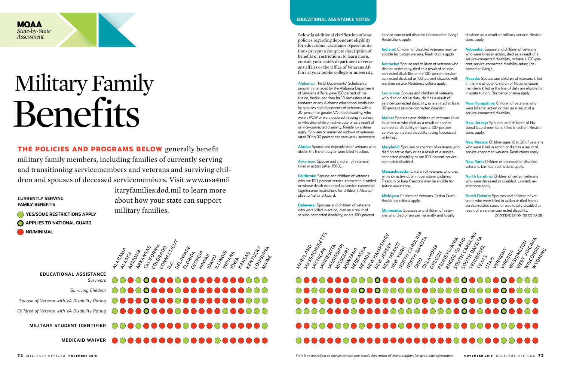## Military Family Benefits





**yes/some restrictions apply APPLIES TO NATIONAL GUARD NO/MINIMAL** 

> **Educational assistance** *Survivors*

*Surviving Children Spouse of Veteran with VA Disability Rating*

*Children of Veteran with VA Disability Rating*

**military student identifier**

**medicaid waiver**

the policies and programs below generally benefit military family members, including families of currently serving and transitioning servicemembers and veterans and surviving children and spouses of deceased servicemembers. Visit www.usa4mil

**currently serving Fami ly Benefits**

itaryfamilies.dod.mil to learn more about how your state can support military families.

**Alabama:** The GI Dependents' Scholarship program, managed by the Alabama Department of Veterans Affairs, pays 100 percent of the tuition, books, and fees for 10 semesters of attendance at any Alabama educational institution by spouses and dependents of veterans with a 20-percent or greater VA-rated disability; who were a POW or were declared missing in action; or who died while on active duty or as a result of service-connected disability. Residency criteria apply. Spouses or remarried widows of veterans rated 20 to 90 percent can receive six semesters.

**Alaska:** Spouse and dependents of veterans who died in the line of duty or were killed in action.

**Arkansas:** Spouse and children of veterans killed in action (after 1960).

**California:** Spouse and children of veterans who are 100-percent service-connected disabled or whose death was rated as service-connected (age/income restrictions for children). Also applies to National Guard.

**Delaware:** Spouses and children of veterans who were killed in action, died as a result of service-connected disability, or are 100-percent service-connected disabled (deceased or living) Restrictions apply.

**Indiana:** Children of disabled veterans may be eligible for tuition waivers. Restrictions apply.

**Kentucky:** Spouse and children of veterans who died on active duty, died as a result of serviceconnected disability, or are 100-percent serviceconnected disabled or 100-percent disabled with wartime service. Residency criteria apply.

**Louisiana:** Spouse and children of veterans who died on active duty, died as a result of service-connected disability, or are rated at least 90-percent service-connected disabled.

**Maine:** Spouses and children of veterans killed in action or who died as a result of serviceconnected disability or have a 100-percent service-connected disability rating (deceased or living).

**Maryland:** Spouses or children of veterans who died on active duty or as a result of a serviceconnected disability or are 100-percent serviceconnected disabled.

**Massachusetts:** Children of veterans who died while on active duty in operations Enduring Freedom or Iraqi Freedom may be eligible for tuition assistance.

**Michigan:** Children of Veterans Tuition Grant. Residency criteria apply.

**Minnesota:** Spouses and children of veterans who died or are permanently and totally disabled as a result of military service. Restrictions apply.

**Nebraska:** Spouse and children of veterans who were killed in action, died as a result of a service-connected disability, or have a 100-percent service-connected disability rating (deceased or living).

**Nevada:** Spouse and children of veterans killed in the line of duty. Children of National Guard members killed in the line of duty are eligible for in-state tuition. Residency criteria apply.

**New Hampshire:** Children of veterans who were killed in action or died as a result of a service-connected disability.

**New Jersey:** Spouses and children of National Guard members killed in action. Restrictions apply.

**New Mexico:** Children ages 16 to 26 of veterans who were killed in action or died as a result of service-connected wounds. Restrictions apply.

**New York:** Children of deceased or disabled veterans. Limited; restrictions apply.

**North Carolina:** Children of certain veterans who were deceased or disabled. Limited; restrictions apply.

**North Dakota:** Spouses and children of veterans who were killed in action or died from a service-related cause or was totally disabled as result of a service-connected disability. [continues on next page]

Below is additional clarification of state policies regarding dependent eligiblity for educational assistance. Space limitations prevent a complete description of benefits or restrictions; to learn more, consult your state's department of veterans affairs or the Office of Veterans Affairs at your public college or university.

#### **educational assistance notes**